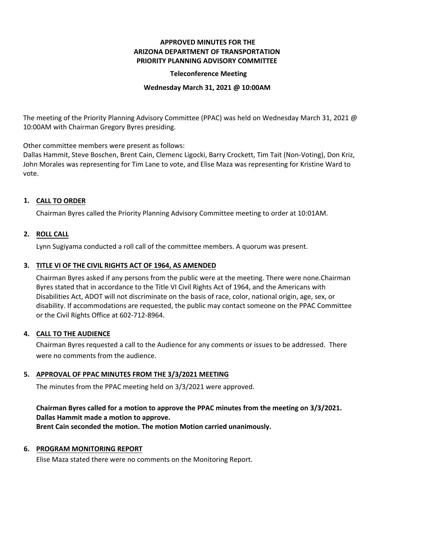## **APPROVED MINUTES FOR THE ARIZONA DEPARTMENT OF TRANSPORTATION PRIORITY PLANNING ADVISORY COMMITTEE**

#### **Teleconference Meeting**

#### **Wednesday March 31, 2021 @ 10:00AM**

The meeting of the Priority Planning Advisory Committee (PPAC) was held on Wednesday March 31, 2021 @ 10:00AM with Chairman Gregory Byres presiding.

Other committee members were present as follows:

Dallas Hammit, Steve Boschen, Brent Cain, Clemenc Ligocki, Barry Crockett, Tim Tait (Non-Voting), Don Kriz, John Morales was representing for Tim Lane to vote, and Elise Maza was representing for Kristine Ward to vote.

# **CALL TO ORDER 1.**

Chairman Byres called the Priority Planning Advisory Committee meeting to order at 10:01AM.

## **ROLL CALL 2.**

Lynn Sugiyama conducted a roll call of the committee members. A quorum was present.

## **TITLE VI OF THE CIVIL RIGHTS ACT OF 1964, AS AMENDED 3.**

Chairman Byres asked if any persons from the public were at the meeting. There were none.Chairman Byres stated that in accordance to the Title VI Civil Rights Act of 1964, and the Americans with Disabilities Act, ADOT will not discriminate on the basis of race, color, national origin, age, sex, or disability. If accommodations are requested, the public may contact someone on the PPAC Committee or the Civil Rights Office at 602-712-8964.

#### **CALL TO THE AUDIENCE 4.**

Chairman Byres requested a call to the Audience for any comments or issues to be addressed. There were no comments from the audience.

# **APPROVAL OF PPAC MINUTES FROM THE 3/3/2021 MEETING 5.**

The minutes from the PPAC meeting held on 3/3/2021 were approved.

# **Chairman Byres called for a motion to approve the PPAC minutes from the meeting on 3/3/2021. Dallas Hammit made a motion to approve.**

**Brent Cain seconded the motion. The motion Motion carried unanimously.**

#### **6. PROGRAM MONITORING REPORT**

Elise Maza stated there were no comments on the Monitoring Report.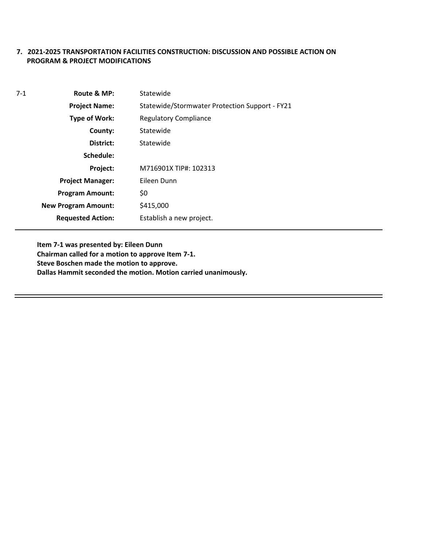# **7. 2021-2025 TRANSPORTATION FACILITIES CONSTRUCTION: DISCUSSION AND POSSIBLE ACTION ON PROGRAM & PROJECT MODIFICATIONS**

| $7-1$ | Route & MP:                | Statewide                                      |  |
|-------|----------------------------|------------------------------------------------|--|
|       | <b>Project Name:</b>       | Statewide/Stormwater Protection Support - FY21 |  |
|       | Type of Work:              | <b>Regulatory Compliance</b>                   |  |
|       | County:                    | Statewide                                      |  |
|       | District:                  | Statewide                                      |  |
|       | Schedule:                  |                                                |  |
|       | Project:                   | M716901X TIP#: 102313                          |  |
|       | <b>Project Manager:</b>    | Eileen Dunn                                    |  |
|       | <b>Program Amount:</b>     | \$0                                            |  |
|       | <b>New Program Amount:</b> | \$415,000                                      |  |
|       | <b>Requested Action:</b>   | Establish a new project.                       |  |

**Item 7-1 was presented by: Eileen Dunn Chairman called for a motion to approve Item 7-1. Steve Boschen made the motion to approve. Dallas Hammit seconded the motion. Motion carried unanimously.**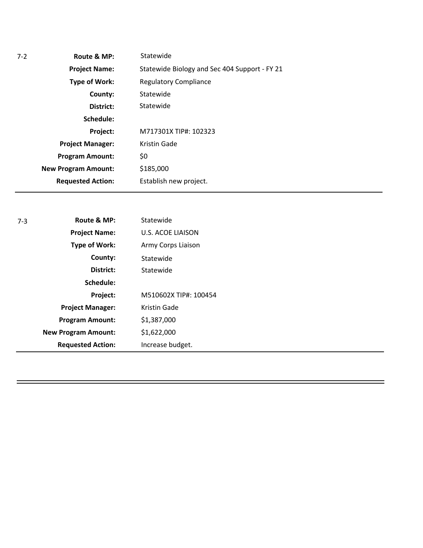| Statewide                                     |  |
|-----------------------------------------------|--|
| Statewide Biology and Sec 404 Support - FY 21 |  |
| <b>Regulatory Compliance</b>                  |  |
| Statewide                                     |  |
| Statewide                                     |  |
|                                               |  |
| M717301X TIP#: 102323                         |  |
| Kristin Gade                                  |  |
| \$0                                           |  |
| \$185,000                                     |  |
| Establish new project.                        |  |
|                                               |  |

| $7 - 3$ | Route & MP:                | Statewide                |  |
|---------|----------------------------|--------------------------|--|
|         | <b>Project Name:</b>       | <b>U.S. ACOE LIAISON</b> |  |
|         | <b>Type of Work:</b>       | Army Corps Liaison       |  |
|         | County:                    | Statewide                |  |
|         | District:                  | Statewide                |  |
|         | Schedule:                  |                          |  |
|         | Project:                   | M510602X TIP#: 100454    |  |
|         | <b>Project Manager:</b>    | <b>Kristin Gade</b>      |  |
|         | <b>Program Amount:</b>     | \$1,387,000              |  |
|         | <b>New Program Amount:</b> | \$1,622,000              |  |
|         | <b>Requested Action:</b>   | Increase budget.         |  |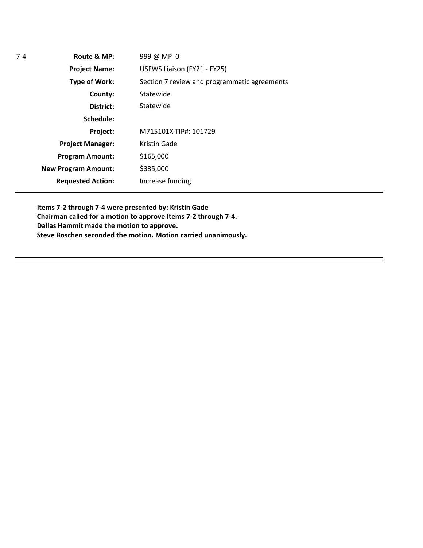| $7 - 4$ | Route & MP:                | 999 @ MP 0                                   |  |
|---------|----------------------------|----------------------------------------------|--|
|         | <b>Project Name:</b>       | USFWS Liaison (FY21 - FY25)                  |  |
|         | <b>Type of Work:</b>       | Section 7 review and programmatic agreements |  |
|         | County:                    | Statewide                                    |  |
|         | District:                  | Statewide                                    |  |
|         | Schedule:                  |                                              |  |
|         | Project:                   | M715101X TIP#: 101729                        |  |
|         | <b>Project Manager:</b>    | Kristin Gade                                 |  |
|         | <b>Program Amount:</b>     | \$165,000                                    |  |
|         | <b>New Program Amount:</b> | \$335,000                                    |  |
|         | <b>Requested Action:</b>   | Increase funding                             |  |
|         |                            |                                              |  |

**Items 7-2 through 7-4 were presented by: Kristin Gade Chairman called for a motion to approve Items 7-2 through 7-4. Dallas Hammit made the motion to approve. Steve Boschen seconded the motion. Motion carried unanimously.**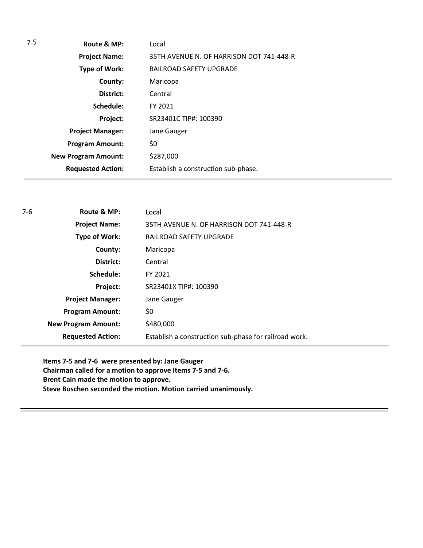| $7-5$ | Route & MP:                | Local                                    |
|-------|----------------------------|------------------------------------------|
|       | <b>Project Name:</b>       | 35TH AVENUE N. OF HARRISON DOT 741-448-R |
|       | <b>Type of Work:</b>       | RAILROAD SAFETY UPGRADE                  |
|       | County:                    | Maricopa                                 |
|       | District:                  | Central                                  |
|       | Schedule:                  | FY 2021                                  |
|       | Project:                   | SR23401C TIP#: 100390                    |
|       | <b>Project Manager:</b>    | Jane Gauger                              |
|       | <b>Program Amount:</b>     | \$0                                      |
|       | <b>New Program Amount:</b> | \$287,000                                |
|       | <b>Requested Action:</b>   | Establish a construction sub-phase.      |

| $7-6$ | Route & MP:                | Local                                                 |
|-------|----------------------------|-------------------------------------------------------|
|       | <b>Project Name:</b>       | 35TH AVENUE N. OF HARRISON DOT 741-448-R              |
|       | <b>Type of Work:</b>       | RAILROAD SAFETY UPGRADE                               |
|       | County:                    | Maricopa                                              |
|       | District:                  | Central                                               |
|       | Schedule:                  | FY 2021                                               |
|       | Project:                   | SR23401X TIP#: 100390                                 |
|       | <b>Project Manager:</b>    | Jane Gauger                                           |
|       | <b>Program Amount:</b>     | \$0                                                   |
|       | <b>New Program Amount:</b> | \$480,000                                             |
|       | <b>Requested Action:</b>   | Establish a construction sub-phase for railroad work. |

**Items 7-5 and 7-6 were presented by: Jane Gauger Chairman called for a motion to approve Items 7-5 and 7-6. Brent Cain made the motion to approve. Steve Boschen seconded the motion. Motion carried unanimously.**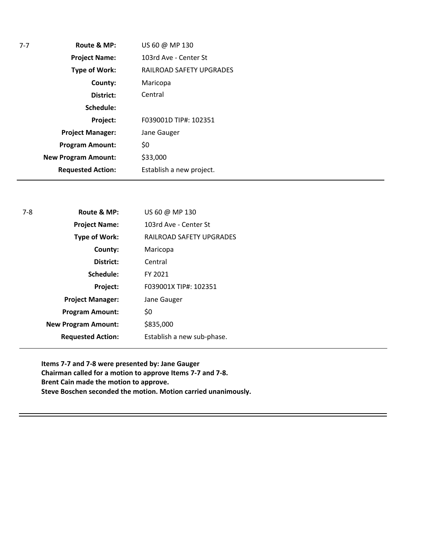| 7-7 | Route & MP:                | US 60 @ MP 130           |
|-----|----------------------------|--------------------------|
|     | <b>Project Name:</b>       | 103rd Ave - Center St    |
|     | Type of Work:              | RAILROAD SAFETY UPGRADES |
|     | County:                    | Maricopa                 |
|     | District:                  | Central                  |
|     | Schedule:                  |                          |
|     | Project:                   | F039001D TIP#: 102351    |
|     | <b>Project Manager:</b>    | Jane Gauger              |
|     | <b>Program Amount:</b>     | \$0                      |
|     | <b>New Program Amount:</b> | \$33,000                 |
|     | <b>Requested Action:</b>   | Establish a new project. |
|     |                            |                          |

| $7-8$ | Route & MP:                | US 60 @ MP 130             |
|-------|----------------------------|----------------------------|
|       | <b>Project Name:</b>       | 103rd Ave - Center St      |
|       | <b>Type of Work:</b>       | RAILROAD SAFETY UPGRADES   |
|       | County:                    | Maricopa                   |
|       | District:                  | Central                    |
|       | Schedule:                  | FY 2021                    |
|       | Project:                   | F039001X TIP#: 102351      |
|       | <b>Project Manager:</b>    | Jane Gauger                |
|       | <b>Program Amount:</b>     | \$0                        |
|       | <b>New Program Amount:</b> | \$835,000                  |
|       | <b>Requested Action:</b>   | Establish a new sub-phase. |

**Items 7-7 and 7-8 were presented by: Jane Gauger Chairman called for a motion to approve Items 7-7 and 7-8. Brent Cain made the motion to approve. Steve Boschen seconded the motion. Motion carried unanimously.**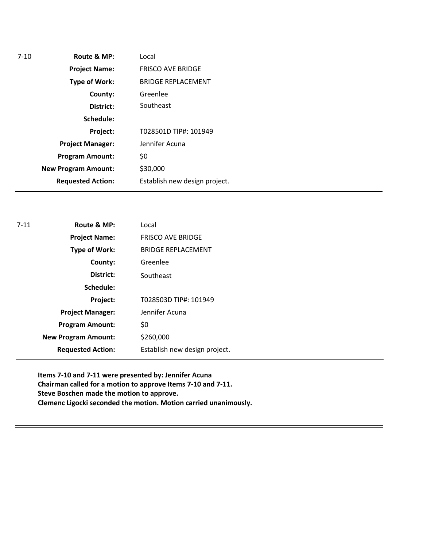| Route & MP:<br>$7 - 10$    | Local                         |
|----------------------------|-------------------------------|
| <b>Project Name:</b>       | <b>FRISCO AVE BRIDGE</b>      |
| Type of Work:              | <b>BRIDGE REPLACEMENT</b>     |
| County:                    | Greenlee                      |
| District:                  | Southeast                     |
| Schedule:                  |                               |
| Project:                   | T028501D TIP#: 101949         |
| <b>Project Manager:</b>    | Jennifer Acuna                |
| <b>Program Amount:</b>     | \$0                           |
| <b>New Program Amount:</b> | \$30,000                      |
| <b>Requested Action:</b>   | Establish new design project. |

| $7 - 11$ | Route & MP:                | Local                         |
|----------|----------------------------|-------------------------------|
|          | <b>Project Name:</b>       | <b>FRISCO AVE BRIDGE</b>      |
|          | <b>Type of Work:</b>       | <b>BRIDGE REPLACEMENT</b>     |
|          | County:                    | Greenlee                      |
|          | District:                  | Southeast                     |
|          | Schedule:                  |                               |
|          | Project:                   | T028503D TIP#: 101949         |
|          | <b>Project Manager:</b>    | Jennifer Acuna                |
|          | <b>Program Amount:</b>     | \$0                           |
|          | <b>New Program Amount:</b> | \$260,000                     |
|          | <b>Requested Action:</b>   | Establish new design project. |
|          |                            |                               |

**Items 7-10 and 7-11 were presented by: Jennifer Acuna Chairman called for a motion to approve Items 7-10 and 7-11. Steve Boschen made the motion to approve. Clemenc Ligocki seconded the motion. Motion carried unanimously.**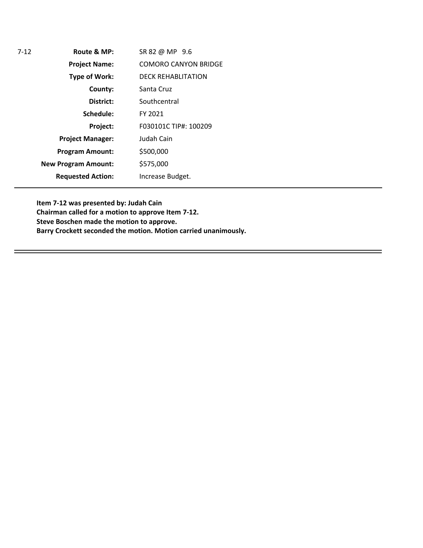| 7-12 | Route & MP:                | SR 82 @ MP 9.6              |
|------|----------------------------|-----------------------------|
|      | <b>Project Name:</b>       | <b>COMORO CANYON BRIDGE</b> |
|      | <b>Type of Work:</b>       | <b>DECK REHABLITATION</b>   |
|      | County:                    | Santa Cruz                  |
|      | District:                  | Southcentral                |
|      | Schedule:                  | FY 2021                     |
|      | Project:                   | F030101C TIP#: 100209       |
|      | <b>Project Manager:</b>    | Judah Cain                  |
|      | <b>Program Amount:</b>     | \$500,000                   |
|      | <b>New Program Amount:</b> | \$575,000                   |
|      | <b>Requested Action:</b>   | Increase Budget.            |
|      |                            |                             |

**Item 7-12 was presented by: Judah Cain Chairman called for a motion to approve Item 7-12. Steve Boschen made the motion to approve. Barry Crockett seconded the motion. Motion carried unanimously.**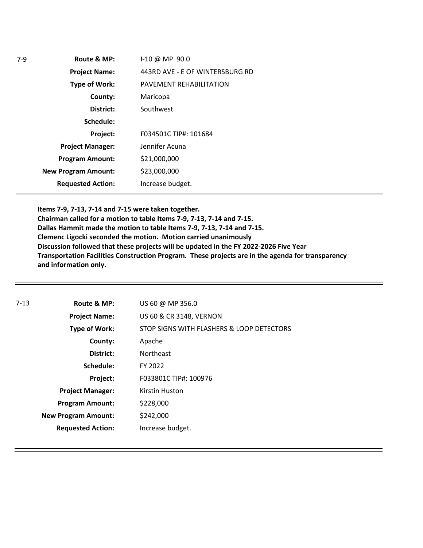|           | I-10 @ MP 90.0                                                                                                                                                      |
|-----------|---------------------------------------------------------------------------------------------------------------------------------------------------------------------|
|           | 443RD AVE - E OF WINTERSBURG RD                                                                                                                                     |
|           | PAVEMENT REHABILITATION                                                                                                                                             |
| County:   | Maricopa                                                                                                                                                            |
| District: | Southwest                                                                                                                                                           |
| Schedule: |                                                                                                                                                                     |
| Project:  | F034501C TIP#: 101684                                                                                                                                               |
|           | Jennifer Acuna                                                                                                                                                      |
|           | \$21,000,000                                                                                                                                                        |
|           | \$23,000,000                                                                                                                                                        |
|           | Increase budget.                                                                                                                                                    |
|           | Route & MP:<br><b>Project Name:</b><br>Type of Work:<br><b>Project Manager:</b><br><b>Program Amount:</b><br><b>New Program Amount:</b><br><b>Requested Action:</b> |

**Items 7-9, 7-13, 7-14 and 7-15 were taken together.** 

**Chairman called for a motion to table Items 7-9, 7-13, 7-14 and 7-15. Dallas Hammit made the motion to table Items 7-9, 7-13, 7-14 and 7-15. Clemenc Ligocki seconded the motion. Motion carried unanimously Discussion followed that these projects will be updated in the FY 2022-2026 Five Year Transportation Facilities Construction Program. These projects are in the agenda for transparency and information only.** 

| 7-13 | Route & MP:                | US 60 @ MP 356.0                          |
|------|----------------------------|-------------------------------------------|
|      | <b>Project Name:</b>       | <b>US 60 &amp; CR 3148, VERNON</b>        |
|      | Type of Work:              | STOP SIGNS WITH FLASHERS & LOOP DETECTORS |
|      | County:                    | Apache                                    |
|      | District:                  | <b>Northeast</b>                          |
|      | Schedule:                  | FY 2022                                   |
|      | Project:                   | F033801C TIP#: 100976                     |
|      | <b>Project Manager:</b>    | <b>Kirstin Huston</b>                     |
|      | <b>Program Amount:</b>     | \$228,000                                 |
|      | <b>New Program Amount:</b> | \$242,000                                 |
|      | <b>Requested Action:</b>   | Increase budget.                          |
|      |                            |                                           |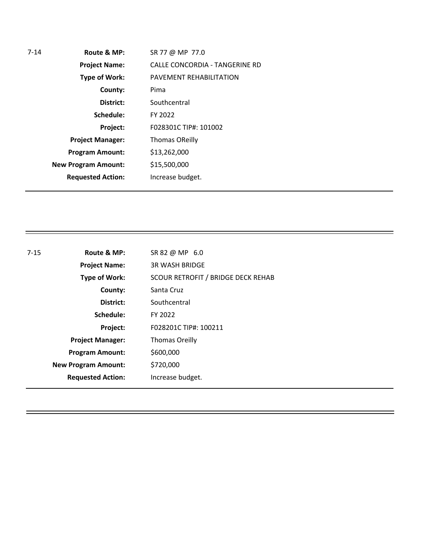| $7 - 14$ | Route & MP:                | SR 77 @ MP 77.0                |
|----------|----------------------------|--------------------------------|
|          | <b>Project Name:</b>       | CALLE CONCORDIA - TANGERINE RD |
|          | <b>Type of Work:</b>       | PAVEMENT REHABILITATION        |
|          | County:                    | Pima                           |
|          | District:                  | Southcentral                   |
|          | Schedule:                  | FY 2022                        |
|          | Project:                   | F028301C TIP#: 101002          |
|          | <b>Project Manager:</b>    | <b>Thomas OReilly</b>          |
|          | <b>Program Amount:</b>     | \$13,262,000                   |
|          | <b>New Program Amount:</b> | \$15,500,000                   |
|          | <b>Requested Action:</b>   | Increase budget.               |
|          |                            |                                |

| $7 - 15$ | Route & MP:                | SR 82 @ MP 6.0                     |
|----------|----------------------------|------------------------------------|
|          | <b>Project Name:</b>       | <b>3R WASH BRIDGE</b>              |
|          | Type of Work:              | SCOUR RETROFIT / BRIDGE DECK REHAB |
|          | County:                    | Santa Cruz                         |
|          | District:                  | Southcentral                       |
|          | Schedule:                  | FY 2022                            |
|          | Project:                   | F028201C TIP#: 100211              |
|          | <b>Project Manager:</b>    | <b>Thomas Oreilly</b>              |
|          | <b>Program Amount:</b>     | \$600,000                          |
|          | <b>New Program Amount:</b> | \$720,000                          |
|          | <b>Requested Action:</b>   | Increase budget.                   |
|          |                            |                                    |

Ξ